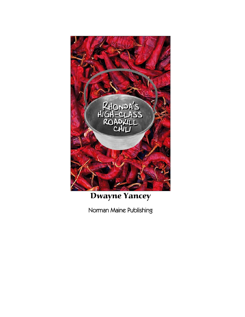

# Dwayne Yancey

Norman Maine Publishing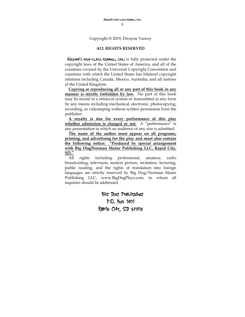Copyright © 2019, Dwayne Yancey

#### **ALL RIGHTS RESERVED**

RHONDA'S HIGH-CLASS ROADKILL CHILL is fully protected under the copyright laws of the United States of America, and all of the countries covered by the Universal Copyright Convention and countries with which the United States has bilateral copyright relations including Canada, Mexico, Australia, and all nations of the United Kingdom.

**Copying or reproducing all or any part of this book in any manner is strictly forbidden by law.** No part of this book may be stored in a retrieval system or transmitted in any form by any means including mechanical, electronic, photocopying, recording, or videotaping without written permission from the publisher.

**A royalty is due for every performance of this play whether admission is charged or not.** A "performance" is any presentation in which an audience of any size is admitted.

**The name of the author must appear on all programs, printing, and advertising for the play and must also contain the following notice: "Produced by special arrangement with Big Dog/Norman Maine Publishing LLC, Rapid City, SD."**

All rights including professional, amateur, radio broadcasting, television, motion picture, recitation, lecturing, public reading, and the rights of translation into foreign languages are strictly reserved by Big Dog/Norman Maine Publishing LLC, www.BigDogPlays.com, to whom all inquiries should be addressed.

> Big Dog Publishing P.O. Box 1401 Rapid City, SD 57709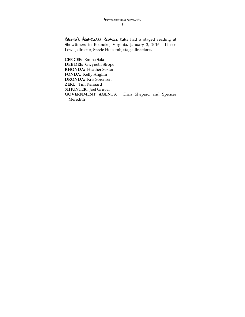RHONDA'S HIGH-CLASS ROADKILL CHILI had a staged reading at Showtimers in Roanoke, Virginia, January 2, 2016: Linsee Lewis, director; Stevie Holcomb, stage directions.

**CEE CEE:** Emma Sala **DEE DEE:** Gwyneth Strope **RHONDA:** Heather Sexton **FONDA:** Kelly Anglim **DRONDA:** Kris Sorensen **ZEKE:** Tim Kennard **51HUNTER:** Joel Gruver **GOVERNMENT AGENTS:** Chris Shepard and Spencer Meredith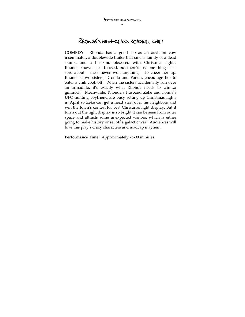# Rhonda's high-class roadkill chili

**COMEDY.** Rhonda has a good job as an assistant cow inseminator, a doublewide trailer that smells faintly of a dead skunk, and a husband obsessed with Christmas lights. Rhonda knows she's blessed, but there's just one thing she's sore about: she's never won anything. To cheer her up, Rhonda's two sisters, Dronda and Fonda, encourage her to enter a chili cook-off. When the sisters accidentally run over an armadillo, it's exactly what Rhonda needs to win…a gimmick! Meanwhile, Rhonda's husband Zeke and Fonda's UFO-hunting boyfriend are busy setting up Christmas lights in April so Zeke can get a head start over his neighbors and win the town's contest for best Christmas light display. But it turns out the light display is so bright it can be seen from outer space and attracts some unexpected visitors, which is either going to make history or set off a galactic war! Audiences will love this play's crazy characters and madcap mayhem.

**Performance Time:** Approximately 75-90 minutes.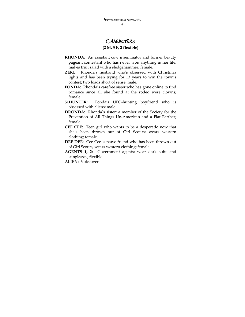# Characters

#### **(2 M, 5 F, 2 flexible)**

- **RHONDA:** An assistant cow inseminator and former beauty pageant contestant who has never won anything in her life; makes fruit salad with a sledgehammer; female.
- **ZEKE:** Rhonda's husband who's obsessed with Christmas lights and has been trying for 13 years to win the town's contest; two loads short of sense; male.
- **FONDA:** Rhonda's carefree sister who has gone online to find romance since all she found at the rodeo were clowns; female.
- **51HUNTER:** Fonda's UFO-hunting boyfriend who is obsessed with aliens; male.
- **DRONDA:** Rhonda's sister; a member of the Society for the Prevention of All Things Un-American and a Flat Earther; female.
- **CEE CEE:** Teen girl who wants to be a desperado now that she's been thrown out of Girl Scouts; wears western clothing; female.
- **DEE DEE:** Cee Cee 's naïve friend who has been thrown out of Girl Scouts; wears western clothing; female.
- **AGENTS 1, 2:** Government agents; wear dark suits and sunglasses; flexible.

**ALIEN:** Voiceover.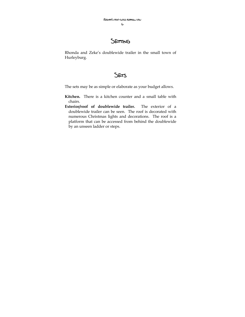# SETTING

Rhonda and Zeke's doublewide trailer in the small town of Hurleyburg.



The sets may be as simple or elaborate as your budget allows.

- **Kitchen.** There is a kitchen counter and a small table with chairs.
- **Exterior/roof of doublewide trailer.** The exterior of a doublewide trailer can be seen. The roof is decorated with numerous Christmas lights and decorations. The roof is a platform that can be accessed from behind the doublewide by an unseen ladder or steps.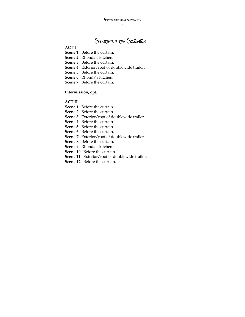7

# Synopsis of Scenes

#### **ACT I**

- **Scene 1:** Before the curtain.
- **Scene 2:** Rhonda's kitchen.
- **Scene 3:** Before the curtain.
- **Scene 4:** Exterior/roof of doublewide trailer.
- **Scene 5:** Before the curtain.
- **Scene 6:** Rhonda's kitchen.
- **Scene 7:** Before the curtain.

#### **Intermission, opt.**

#### **ACT II**

- **Scene 1:** Before the curtain.
- **Scene 2:** Before the curtain.
- **Scene 3:** Exterior/roof of doublewide trailer.
- **Scene 4:** Before the curtain.
- **Scene 5:** Before the curtain.
- **Scene 6:** Before the curtain.
- **Scene 7:** Exterior/roof of doublewide trailer.
- **Scene 8:** Before the curtain.
- **Scene 9:** Rhonda's kitchen.
- **Scene 10:** Before the curtain.
- Scene 11: Exterior/roof of doublewide trailer.
- **Scene 12:** Before the curtain.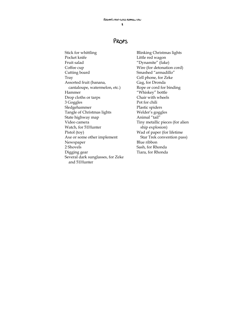# Props

Stick for whittling Pocket knife Fruit salad Coffee cup Cutting board Tray Assorted fruit (banana, cantaloupe, watermelon, etc.) Hammer Drop cloths or tarps 3 Goggles Sledgehammer Tangle of Christmas lights State highway map Video camera Watch, for 51Hunter Pistol (toy) Axe or some other implement Newspaper 2 Shovels Digging gear Several dark sunglasses, for Zeke and 51Hunter

Blinking Christmas lights Little red wagon "Dynamite" (fake) Wire (for detonation cord) Smashed "armadillo" Cell phone, for Zeke Gag, for Dronda Rope or cord for binding "Whiskey" bottle Chair with wheels Pot for chili Plastic spiders Welder's goggles Animal "tail" Tiny metallic pieces (for alien ship explosion) Wad of paper (for lifetime Star Trek convention pass) Blue ribbon Sash, for Rhonda Tiara, for Rhonda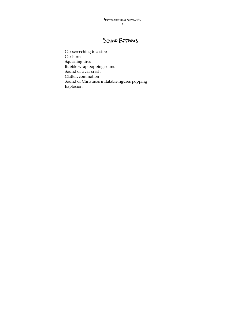## SOUND EFFECTS

Car screeching to a stop Car horn Squealing tires Bubble wrap popping sound Sound of a car crash Clatter, commotion Sound of Christmas inflatable figures popping Explosion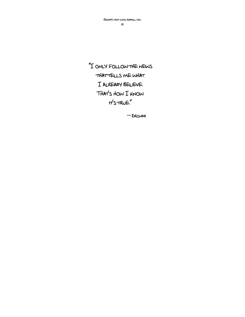"I only follow the news that tells me what I already believe. That's how I know  $t$  $t$ 's  $t$ RUE."

―Dronda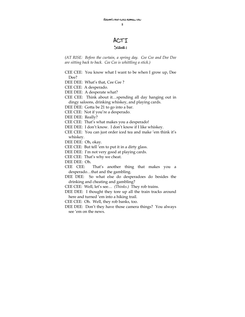### ACT I Scene 1

*(AT RISE: Before the curtain, a spring day. Cee Cee and Dee Dee are sitting back to back. Cee Cee is whittling a stick.)* 

CEE CEE: You know what I want to be when I grow up, Dee Dee?

DEE DEE: What's that, Cee Cee ?

CEE CEE: A desperado.

DEE DEE: A desperate what?

CEE CEE: Think about it…spending all day hanging out in dingy saloons, drinking whiskey, and playing cards.

DEE DEE: Gotta be 21 to go into a bar.

CEE CEE: Not if you're a desperado.

DEE DEE: Really?

CEE CEE: That's what makes you a desperado!

DEE DEE: I don't know. I don't know if I like whiskey.

CEE CEE: You can just order iced tea and make 'em think it's whiskey.

DEE DEE: Oh, okay.

CEE CEE: But tell 'em to put it in a dirty glass.

DEE DEE: I'm not very good at playing cards.

CEE CEE: That's why we cheat.

DEE DEE: Oh.

CEE CEE: That's another thing that makes you a desperado…that and the gambling.

DEE DEE: So what else do desperadoes do besides the drinking and cheating and gambling?

CEE CEE: Well, let's see… *(Thinks.)* They rob trains.

DEE DEE: I thought they tore up all the train tracks around here and turned 'em into a hiking trail.

CEE CEE: Oh. Well, they rob banks, too.

DEE DEE: Don't they have those camera things? You always see 'em on the news.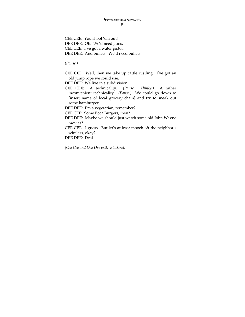CEE CEE: You shoot 'em out! DEE DEE: Oh. We'd need guns. CEE CEE: I've got a water pistol. DEE DEE: And bullets. We'd need bullets.

*(Pause.)* 

CEE CEE: Well, then we take up cattle rustling. I've got an old jump rope we could use.

DEE DEE: We live in a subdivision.

CEE CEE: A technicality. *(Pause. Thinks.)* A rather inconvenient technicality. *(Pause.)* We could go down to [insert name of local grocery chain] and try to sneak out some hamburger.

DEE DEE: I'm a vegetarian, remember?

CEE CEE: Some Boca Burgers, then?

- DEE DEE: Maybe we should just watch some old John Wayne movies?
- CEE CEE: I guess. But let's at least mooch off the neighbor's wireless, okay?

DEE DEE: Deal.

*(Cee Cee and Dee Dee exit. Blackout.)*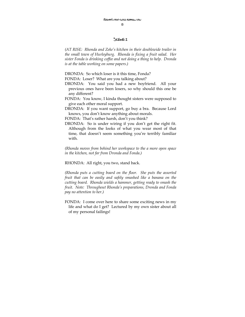#### Scene 2

*(AT RISE: Rhonda and Zeke's kitchen in their doublewide trailer in the small town of Hurleyburg. Rhonda is fixing a fruit salad. Her sister Fonda is drinking coffee and not doing a thing to help. Dronda is at the table working on some papers.)* 

DRONDA: So which loser is it this time, Fonda?

FONDA: Loser? What are you talking about?

- DRONDA: You said you had a new boyfriend. All your previous ones have been losers, so why should this one be any different?
- FONDA: You know, I kinda thought sisters were supposed to give each other moral support.
- DRONDA: If you want support, go buy a bra. Because Lord knows, you don't know anything about morals.

FONDA: That's rather harsh, don't you think?

DRONDA: So is under wiring if you don't get the right fit. Although from the looks of what you wear most of that time, that doesn't seem something you're terribly familiar with.

*(Rhonda moves from behind her workspace to the a more open space in the kitchen, not far from Dronda and Fonda.)* 

RHONDA: All right, you two, stand back.

*(Rhonda puts a cutting board on the floor. She puts the assorted fruit that can be easily and safely smashed like a banana on the cutting board. Rhonda wields a hammer, getting ready to smash the fruit. Note: Throughout Rhonda's preparations, Dronda and Fonda pay no attention to her.)* 

FONDA: I come over here to share some exciting news in my life and what do I get? Lectured by my own sister about all of my personal failings!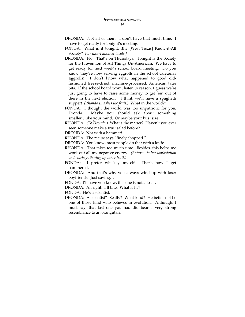- DRONDA: Not all of them. I don't have that much time. I have to get ready for tonight's meeting.
- FONDA: What is it tonight…the [West Texas] Know-it-All Society? *[Or insert another locale.]*
- DRONDA: No. That's on Thursdays. Tonight is the Society for the Prevention of All Things Un-American. We have to get ready for next week's school board meeting. Do you know they're now serving eggrolls in the school cafeteria? Eggrolls! I don't know what happened to good oldfashioned freeze-dried, machine-processed, American tater bits. If the school board won't listen to reason, I guess we're just going to have to raise some money to get 'em out of there in the next election. I think we'll have a spaghetti supper! *(Rhonda smashes the fruit.)* What in the world?!
- FONDA: I thought the world was too unpatriotic for you, Dronda. Maybe you should ask about something smaller…like your mind. Or maybe your bust size.
- RHONDA: *(To Dronda.)* What's the matter? Haven't you ever seen someone make a fruit salad before?

DRONDA: Not with a hammer!

- RHONDA: The recipe says "finely chopped."
- DRONDA: You know, most people do that with a knife.
- RHONDA: That takes too much time. Besides, this helps me work out all my negative energy. *(Returns to her workstation and starts gathering up other fruit.)*
- FONDA: I prefer whiskey myself. That's how I get hammered.
- DRONDA: And that's why you always wind up with loser boyfriends. Just saying…
- FONDA: I'll have you know, this one is not a loser.
- DRONDA: All right. I'll bite. What is he?

FONDA: He's a scientist.

DRONDA: A scientist? Really? What kind? He better not be one of those kind who believes in evolution. Although, I must say, that last one you had did bear a very strong resemblance to an orangutan.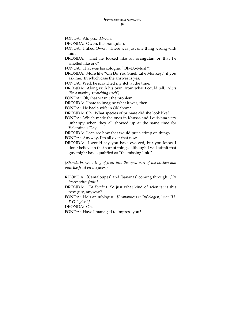FONDA: Ah, yes…Owen.

DRONDA: Owen, the orangutan.

- FONDA: I liked Owen. There was just one thing wrong with him.
- DRONDA: That he looked like an orangutan or that he smelled like one?

FONDA: That was his cologne, "Oh-Do-Musk"!

- DRONDA: More like "Oh Do You Smell Like Monkey," if you ask me. In which case the answer is yes.
- FONDA: Well, he scratched my itch at the time.
- DRONDA: Along with his own, from what I could tell. *(Acts like a monkey scratching itself.)*

FONDA: Oh, that wasn't the problem.

DRONDA: I hate to imagine what it was, then.

FONDA: He had a wife in Oklahoma.

DRONDA: Oh. What species of primate did she look like?

FONDA: Which made the ones in Kansas and Louisiana very unhappy when they all showed up at the same time for Valentine's Day.

DRONDA: I can see how that would put a crimp on things.

FONDA: Anyway, I'm all over that now.

DRONDA: I would say you have evolved, but you know I don't believe in that sort of thing…although I will admit that guy might have qualified as "the missing link."

*(Rhonda brings a tray of fruit into the open part of the kitchen and puts the fruit on the floor.)* 

- RHONDA: [Cantaloupes] and [bananas] coming through. *[Or insert other fruit.]*
- DRONDA: *(To Fonda.)* So just what kind of scientist is this new guy, anyway?

FONDA: He's an ufologist. *[Pronounces it "uf-ologist," not "U-F-O-logist."]* 

DRONDA: Oh.

FONDA: Have I managed to impress you?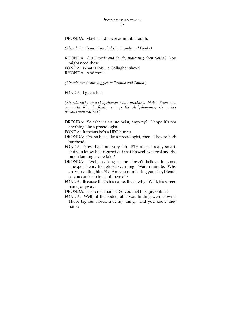DRONDA: Maybe. I'd never admit it, though.

*(Rhonda hands out drop cloths to Dronda and Fonda.)* 

RHONDA: *(To Dronda and Fonda, indicating drop cloths.)* You might need these. FONDA: What is this…a Gallagher show? RHONDA: And these…

*(Rhonda hands out goggles to Dronda and Fonda.)* 

FONDA: I guess it is.

*(Rhonda picks up a sledgehammer and practices. Note: From now on, until Rhonda finally swings the sledgehammer, she makes various preparations.)* 

DRONDA: So what is an ufologist, anyway? I hope it's not anything like a proctologist.

FONDA: It means he's a UFO hunter.

DRONDA: Oh, so he is like a proctologist, then. They're both buttheads.

- FONDA: Now that's not very fair. 51Hunter is really smart. Did you know he's figured out that Roswell was real and the moon landings were fake?
- DRONDA: Well, as long as he doesn't believe in some crackpot theory like global warming. Wait a minute. Why are you calling him 51? Are you numbering your boyfriends so you can keep track of them all?
- FONDA: Because that's his name, that's why. Well, his screen name, anyway.

DRONDA: His screen name? So you met this guy online?

FONDA: Well, at the rodeo, all I was finding were clowns. Those big red noses…not my thing. Did you know they honk?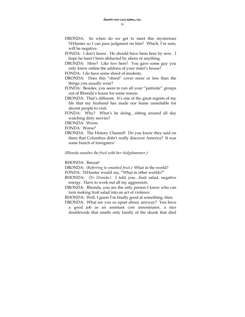- DRONDA: So when do we get to meet this mysterious 51Hunter so I can pass judgment on him? Which, I'm sure, will be negative.
- FONDA: I don't know. He should have been here by now. I hope he hasn't been abducted by aliens or anything.
- DRONDA: Here? Like *here* here? You gave some guy you only know online the address of your sister's house?
- FONDA: I do have some shred of modesty.
- DRONDA: Does this "shred" cover more or less than the things you usually wear?
- FONDA: Besides, you seem to run all your "patriotic" groups out of Rhonda's house for some reason.
- DRONDA: That's different. It's one of the great regrets of my life that my husband has made our home unsuitable for decent people to visit.
- FONDA: Why? What's he doing…sitting around all day watching dirty movies?
- DRONDA: Worse.
- FONDA: Worse?
- DRONDA: The History Channel! Do you know they said on there that Columbus didn't really discover America? It was some bunch of foreigners!

#### *(Rhonda smashes the fruit with her sledgehammer.)*

RHONDA: Banzai!

DRONDA: *(Referring to smashed fruit.)* What in the world?

FONDA: 51Hunter would say, "What in other worlds?"

- RHONDA: *(To Dronda.)* I told you…fruit salad, negative energy. Have to work out all my aggression.
- DRONDA: Rhonda, you are the only person I know who can turn making fruit salad into an act of violence.

RHONDA: Well, I guess I'm finally good at something, then.

DRONDA: What are you so upset about, anyway? You have a good job as an assistant cow inseminator, a nice doublewide that smells only faintly of the skunk that died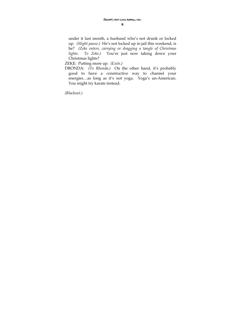under it last month, a husband who's not drunk or locked up. *(Slight pause.)* He's not locked up in jail this weekend, is he? *(Zeke enters, carrying or dragging a tangle of Christmas lights. To Zeke.)* You're just now taking down your Christmas lights?

ZEKE: Putting more up. *(Exits.)* 

DRONDA: *(To Rhonda.)* On the other hand, it's probably good to have a constructive way to channel your energies…as long as it's not yoga. Yoga's un-American. You might try karate instead.

*(Blackout.)*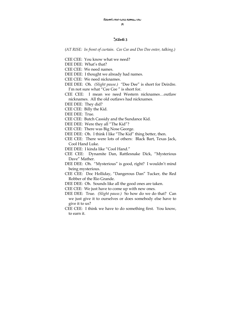19

#### SCENE<sub>3</sub>

*(AT RISE: In front of curtain. Cee Cee and Dee Dee enter, talking.)* 

CEE CEE: You know what we need?

DEE DEE: What's that?

CEE CEE: We need names.

DEE DEE: I thought we already had names.

CEE CEE: We need nicknames.

- DEE DEE: Oh. *(Slight pause.) "*Dee Dee" is short for Deirdre. I'm not sure what "Cee Cee " is short for.
- CEE CEE: I mean we need Western nicknames…outlaw nicknames. All the old outlaws had nicknames.

DEE DEE: They did?

CEE CEE: Billy the Kid.

DEE DEE: True.

CEE CEE: Butch Cassidy and the Sundance Kid.

DEE DEE: Were they all "The Kid"?

CEE CEE: There was Big Nose George.

DEE DEE: Oh. I think I like "The Kid" thing better, then.

CEE CEE: There were lots of others: Black Bart, Texas Jack, Cool Hand Luke.

DEE DEE: I kinda like "Cool Hand."

CEE CEE: Dynamite Dan, Rattlesnake Dick, "Mysterious Dave" Mather.

DEE DEE: Oh. "Mysterious" is good, right? I wouldn't mind being mysterious.

CEE CEE: Doc Holliday, "Dangerous Dan" Tucker, the Red Robber of the Rio Grande.

DEE DEE: Oh. Sounds like all the good ones are taken.

CEE CEE: We just have to come up with new ones.

- DEE DEE: True. *(Slight pause.)* So how do we do that? Can we just give it to ourselves or does somebody else have to give it to us?
- CEE CEE: I think we have to do something first. You know, to earn it.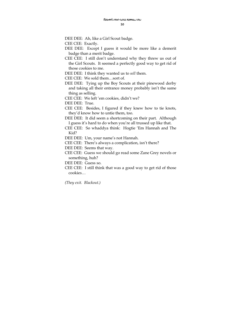DEE DEE: Ah, like a Girl Scout badge.

CEE CEE: Exactly.

- DEE DEE: Except I guess it would be more like a demerit badge than a merit badge.
- CEE CEE: I still don't understand why they threw us out of the Girl Scouts. It seemed a perfectly good way to get rid of those cookies to me.
- DEE DEE: I think they wanted us to *sell* them.
- CEE CEE: We sold them…sort of.
- DEE DEE: Tying up the Boy Scouts at their pinewood derby and taking all their entrance money probably isn't the same thing as selling.
- CEE CEE: We left 'em cookies, didn't we?

DEE DEE: True.

- CEE CEE: Besides, I figured if they knew how to tie knots, they'd know how to untie them, too.
- DEE DEE: It did seem a shortcoming on their part. Although I guess it's hard to do when you're all trussed up like that.
- CEE CEE: So whaddya think: Hogtie 'Em Hannah and The Kid?
- DEE DEE: Um, your name's not Hannah.
- CEE CEE: There's always a complication, isn't there?
- DEE DEE: Seems that way.
- CEE CEE: Guess we should go read some Zane Grey novels or something, huh?
- DEE DEE: Guess so.
- CEE CEE: I still think that was a good way to get rid of those cookies…

*(They exit. Blackout.)*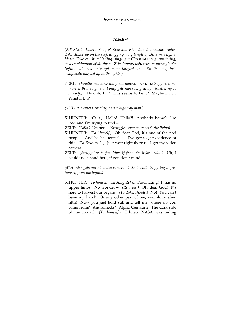#### Scene 4

*(AT RISE: Exterior/roof of Zeke and Rhonda's doublewide trailer. Zeke climbs up on the roof, dragging a big tangle of Christmas lights. Note: Zeke can be whistling, singing a Christmas song, muttering, or a combination of all three. Zeke humorously tries to untangle the lights, but they only get more tangled up. By the end, he's completely tangled up in the lights.)* 

- ZEKE: *(Finally realizing his predicament.)* Oh. *(Struggles some more with the lights but only gets more tangled up. Muttering to himself.*) How do I…? This seems to be…? Maybe if I…? What if I…?
- *(51Hunter enters, waving a state highway map.)*
- 51HUNTER: *(Calls.)* Hello! Hello?! Anybody home? I'm lost, and I'm trying to find—
- ZEKE: *(Calls.)* Up here! *(Struggles some more with the lights).*
- 51HUNTER: *(To himself.)* Oh dear God, it's one of the pod people! And he has tentacles! I've got to get evidence of this. *(To Zeke, calls.)* Just wait right there till I get my video camera!
- ZEKE: *(Struggling to free himself from the lights, calls.)* Uh, I could use a hand here, if you don't mind!

*(51Hunter gets out his video camera. Zeke is still struggling to free himself from the lights.)* 

51HUNTER: *(To himself, watching Zeke.)* Fascinating! It has no upper limbs! No wonder— *(Realizes.)* Oh, dear God! It's here to harvest our organs! *(To Zeke, shouts.)* No! You can't have my hand! Or any other part of me, you slimy alien filth! Now you just hold still and tell me, where do you come from? Andromeda? Alpha Centauri? The dark side of the moon? *(To himself.)* I knew NASA was hiding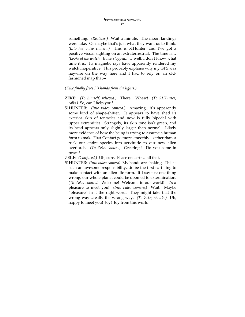something. *(Realizes.)* Wait a minute. The moon landings were fake. Or maybe that's just what they want us to think. *(Into his video camera.)* This is 51Hunter, and I've got a positive visual sighting on an extraterrestrial. The time is… *(Looks at his watch. It has stopped.)* …well, I don't know what time it is. Its magnetic rays have apparently rendered my watch inoperative. This probably explains why my GPS was haywire on the way here and I had to rely on an oldfashioned map that—

#### *(Zeke finally frees his hands from the lights.)*

- ZEKE: *(To himself, relieved.)* There! Whew! *(To 51Hunter, calls.)* So, can I help you?
- 51HUNTER: *(Into video camera.)* Amazing…it's apparently some kind of shape-shifter. It appears to have shed its exterior skin of tentacles and now is fully bipedal with upper extremities. Strangely, its skin tone isn't green, and its head appears only slightly larger than normal. Likely more evidence of how the being is trying to assume a human form to make First Contact go more smoothly…either that or trick our entire species into servitude to our new alien overlords. *(To Zeke, shouts.)* Greetings! Do you come in peace?
- ZEKE: *(Confused.)* Uh, sure. Peace on earth…all that.
- 51HUNTER: *(Into video camera)* My hands are shaking. This is such an awesome responsibility…to be the first earthling to make contact with an alien life-form. If I say just one thing wrong, our whole planet could be doomed to extermination. *(To Zeke, shouts.)* Welcome! Welcome to our world! It's a pleasure to meet you! *(Into video camera.)* Wait. Maybe "pleasure" isn't the right word. They might take that the wrong way…really the wrong way. *(To Zeke, shouts.)* Uh, happy to meet you! Joy! Joy from this world!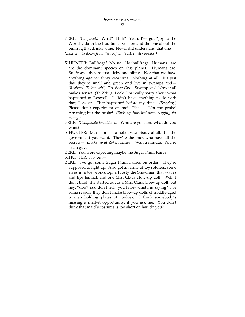ZEKE: *(Confused.)* What? Huh? Yeah, I've got "Joy to the World"…both the traditional version and the one about the bullfrog that drinks wine. Never did understand that one. *(Zeke climbs down from the roof while 51Hunter speaks.)* 

- 51HUNTER: Bullfrogs? No, no. Not bullfrogs. Humans…we are the dominant species on this planet. Humans are. Bullfrogs…they're just…icky and slimy. Not that we have anything against slimy creatures. Nothing at all. It's just that they're small and green and live in swamps and— *(Realizes. To himself.)* Oh, dear God! Swamp gas! Now it all makes sense! *(To Zeke.)* Look, I'm really sorry about what happened at Roswell. I didn't have anything to do with that, I swear. That happened before my time. *(Begging.)* Please don't experiment on me! Please! Not the probe! Anything but the probe! *(Ends up hunched over, begging for mercy.)*
- ZEKE: *(Completely bewildered.)* Who are you, and what do you want?
- 51HUNTER: Me? I'm just a nobody…nobody at all. It's the government you want. They're the ones who have all the secrets— *(Looks up at Zeke, realizes.)* Wait a minute. You're just a guy.
- ZEKE: You were expecting maybe the Sugar Plum Fairy?

51HUNTER: No, but—

ZEKE: I've got some Sugar Plum Fairies on order. They're supposed to light up. Also got an army of toy soldiers, some elves in a toy workshop, a Frosty the Snowman that waves and tips his hat, and one Mrs. Claus blow-up doll. Well, I don't think she started out as a Mrs. Claus blow-up doll, but hey, "don't ask, don't tell," you know what I'm saying? For some reason, they don't make blow-up dolls of middle-aged women holding plates of cookies. I think somebody's missing a market opportunity, if you ask me. You don't think that maid's costume is too short on her, do you?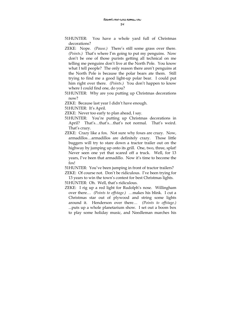- 51HUNTER: You have a whole yard full of Christmas decorations?
- ZEKE: Nope. *(Pause.)* There's still some grass over there. *(Points.)* That's where I'm going to put my penguins. Now don't be one of those purists getting all technical on me telling me penguins don't live at the North Pole. You know what I tell people? The only reason there aren't penguins at the North Pole is because the polar bears ate them. Still trying to find me a good light-up polar bear. I could put him right over there. *(Points.)* You don't happen to know where I could find one, do you?
- 51HUNTER: Why are you putting up Christmas decorations now?
- ZEKE: Because last year I didn't have enough.
- 51HUNTER: It's April.
- ZEKE: Never too early to plan ahead, I say.
- 51HUNTER: You're putting up Christmas decorations in April? That's…that's…that's not normal. That's weird. That's crazy.
- ZEKE: Crazy like a fox. Not sure why foxes are crazy. Now, armadillos…armadillos are definitely crazy. Those little buggers will try to stare down a tractor trailer out on the highway by jumping up onto its grill. One, two, three, splat! Never seen one yet that scared off a truck. Well, for 13 years, I've been that armadillo. Now it's time to become the fox!

51HUNTER: You've been jumping in front of tractor trailers?

ZEKE: Of course not. Don't be ridiculous. I've been trying for 13 years to win the town's contest for best Christmas lights. 51HUNTER: Oh. Well, that's ridiculous.

ZEKE: I rig up a red light for Rudolph's nose. Willingham over there… *(Points to offstage.) …*makes his blink. I cut a Christmas star out of plywood and string some lights around it. Henderson over there… *(Points to offstage.)* ...puts up a whole planetarium show. I set out a boom box to play some holiday music, and Needleman marches his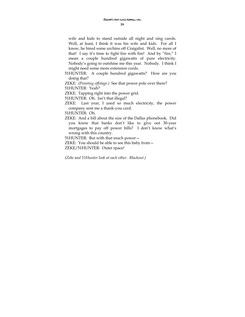wife and kids to stand outside all night and sing carols. Well, at least, I think it was his wife and kids. For all I know, he hired some urchins off Craigslist. Well, no more of that! I say it's time to fight fire with fire! And by "fire," I mean a couple hundred gigawatts of pure electricity. Nobody's going to outshine me this year. Nobody. I think I might need some more extension cords.

51HUNTER: A couple hundred gigawatts? How are you doing that?

ZEKE: *(Pointing offstage.)* See that power pole over there? 51HUNTER: Yeah?

ZEKE: Tapping right into the power grid.

51HUNTER: Oh. Isn't that illegal?

ZEKE: Last year, I used so much electricity, the power company sent me a thank-you card.

51HUNTER: Oh.

ZEKE: And a bill about the size of the Dallas phonebook. Did you know that banks don't like to give out 30-year mortgages to pay off power bills? I don't know what's wrong with this country.

51HUNTER: But with that much power—

ZEKE: You should be able to see this baby from— ZEKE/51HUNTER: Outer space!

*(Zeke and 51Hunter look at each other. Blackout.)*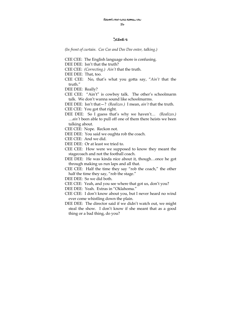#### Scene 5

*(In front of curtain. Cee Cee and Dee Dee enter, talking.)* 

- CEE CEE: The English language shore is confusing.
- DEE DEE: Isn't that the truth?
- CEE CEE: *(Correcting.) Ain't* that the truth.

DEE DEE: That, too.

CEE CEE: No, that's what you gotta say, "*Ain't* that the truth."

DEE DEE: Really?

CEE CEE: "Ain't" is cowboy talk. The other's schoolmarm talk. We don't wanna sound like schoolmarms.

DEE DEE: Isn't that—? *(Realizes.)* I mean, *ain't* that the truth. CEE CEE: You got that right.

DEE DEE: So I guess that's why we haven't… *(Realizes.)* …*ain't* been able to pull off one of them there heists we been talking about.

CEE CEE: Nope. Reckon not.

DEE DEE: You said we oughta rob the coach.

CEE CEE: And we did.

- DEE DEE: Or at least we tried to.
- CEE CEE: How were we supposed to know they meant the stagecoach and not the football coach.
- DEE DEE: He was kinda nice about it, though…once he got through making us run laps and all that.
- CEE CEE: Half the time they say "rob the coach," the other half the time they say, "rob the stage."

DEE DEE: So we did both.

- CEE CEE: Yeah, and you see where that got us, don't you?
- DEE DEE: Yeah. Extras in "Oklahoma."
- CEE CEE: I don't know about you, but I never heard no wind ever come whistling down the plain.
- DEE DEE: The director said if we didn't watch out, we might steal the show. I don't know if she meant that as a good thing or a bad thing, do you?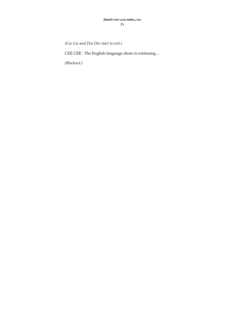*(Cee Cee and Dee Dee start to exit.)* 

CEE CEE: The English language shore is confusing…

*(Blackout.)*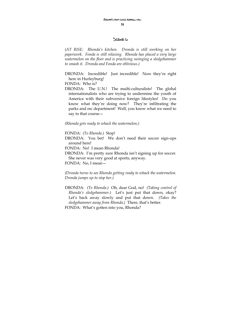#### Scene 6

*(AT RISE: Rhonda's kitchen. Dronda is still working on her paperwork. Fonda is still relaxing. Rhonda has placed a very large watermelon on the floor and is practicing swinging a sledgehammer to smash it. Dronda and Fonda are oblivious.)* 

DRONDA: Incredible! Just incredible! Now they're right here in Hurleyburg!

FONDA: Who is?

DRONDA: The U.N.! The multi-culturalists! The global internationalists who are trying to undermine the youth of America with their subversive foreign lifestyles! Do you know what they're doing now? They're infiltrating the parks and rec department! Well, you know what we need to say to that course—

*(Rhonda gets ready to whack the watermelon.)* 

FONDA: *(To Rhonda.)* Stop!

DRONDA: You bet! We don't need their soccer sign-ups around here!

FONDA: No! I mean Rhonda!

DRONDA: I'm pretty sure Rhonda isn't signing up for soccer. She never was very good at sports, anyway.

FONDA: No, I mean—

*(Dronda turns to see Rhonda getting ready to whack the watermelon. Dronda jumps up to stop her.)* 

DRONDA: *(To Rhonda.)* Oh, dear God, no! *(Taking control of Rhonda's sledgehammer.)* Let's just put that down, okay? Let's back away slowly and put that down. *(Takes the sledgehammer away from Rhonda.)* There, that's better. FONDA: What's gotten into you, Rhonda?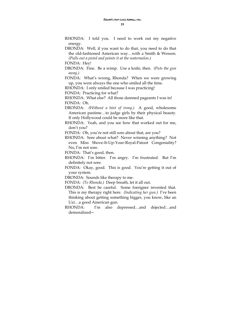RHONDA: I told you. I need to work out my negative energy.

DRONDA: Well, if you want to do that, you need to do that the old-fashioned American way…with a Smith & Wesson. *(Pulls out a pistol and points it at the watermelon.)* 

FONDA: Hey!

DRONDA: Fine. Be a wimp. Use a knife, then. *(Puts the gun away.)* 

FONDA: What's wrong, Rhonda? When we were growing up, you were always the one who smiled all the time.

RHONDA: I only smiled because I was practicing!

FONDA: Practicing for what?

RHONDA: What else? All those damned pageants I was in! FONDA: Oh.

- DRONDA: *(Without a hint of irony.)* A good, wholesome American pastime…to judge girls by their physical beauty. If only Hollywood could be more like that.
- RHONDA: Yeah, and you see how that worked out for me, don't you?

FONDA: Oh, you're not still sore about that, are you?

RHONDA: Sore about what? Never winning anything? Not even Miss Shove-It-Up-Your-Royal-Patoot Congeniality? No, I'm not sore.

FONDA: That's good, then.

- RHONDA: I'm bitter. I'm angry. I'm frustrated. But I'm definitely not sore.
- FONDA: Okay, good. This is good. You're getting it out of your system.

DRONDA: Sounds like therapy to me.

FONDA: *(To Rhonda.)* Deep breath, let it all out.

- DRONDA: Best be careful. Some foreigner invented that. This is my therapy right here. *(Indicating her gun.)* I've been thinking about getting something bigger, you know, like an Uzi…a good American gun.
- RHONDA: I'm also depressed…and dejected…and demoralized―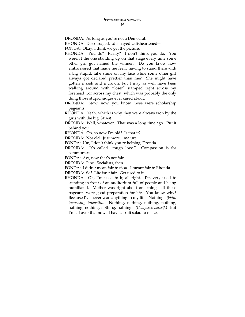DRONDA: As long as you're not a Democrat.

RHONDA: Discouraged…dismayed…disheartened―

FONDA: Okay, I think we get the picture.

- RHONDA: You do? Really? I don't think you do. You weren't the one standing up on that stage every time some other girl got named the winner. Do you know how embarrassed that made me feel…having to stand there with a big stupid, fake smile on my face while some other girl always got declared prettier than me? She might have gotten a sash and a crown, but I may as well have been walking around with "loser" stamped right across my forehead…or across my chest, which was probably the only thing those stupid judges ever cared about.
- DRONDA: Now, now, you know those were scholarship pageants.
- RHONDA: Yeah, which is why they were always won by the girls with the big GPAs!
- DRONDA: Well, whatever. That was a long time ago. Put it behind you.

RHONDA: Oh, so now I'm old? Is that it?

DRONDA: Not old. Just more…mature.

FONDA: Um, I don't think you're helping, Dronda.

DRONDA: It's called "tough love." Compassion is for communists.

FONDA: Aw, now that's not fair.

DRONDA: Fine. Socialists, then.

FONDA: I didn't mean fair to *them*. I meant fair to Rhonda.

DRONDA: So? Life isn't fair. Get used to it.

RHONDA: Oh, I'm used to it, all right. I'm very used to standing in front of an auditorium full of people and being humiliated. Mother was right about one thing—all those pageants were good preparation for life. You know why? Because I've never won anything in my life! Nothing! *(With increasing intensity.)* Nothing, nothing, nothing, nothing, nothing, nothing, nothing, nothing! *(Composes herself.)* But I'm all over that now. I have a fruit salad to make.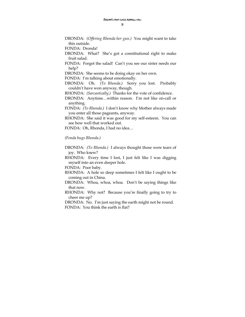DRONDA: *(Offering Rhonda her gun.)* You might want to take this outside.

FONDA: Dronda!

- DRONDA: What? She's got a constitutional right to make fruit salad.
- FONDA: Forget the salad! Can't you see our sister needs our help?

DRONDA: She seems to be doing okay on her own.

FONDA: I'm talking about emotionally.

DRONDA: Oh. *(To Rhonda.)* Sorry you lost. Probably couldn't have won anyway, though.

RHONDA: *(Sarcastically.)* Thanks for the vote of confidence.

- DRONDA: Anytime…within reason. I'm not like on-call or anything.
- FONDA: *(To Rhonda.)* I don't know why Mother always made you enter all those pageants, anyway.
- RHONDA: She said it was good for my self-esteem. You can see how well that worked out.

FONDA: Oh, Rhonda, I had no idea…

#### *(Fonda hugs Rhonda.)*

DRONDA: *(To Rhonda.)* I always thought those were tears of joy. Who knew?

RHONDA: Every time I lost, I just felt like I was digging myself into an even deeper hole.

FONDA: Poor baby.

- RHONDA: A hole so deep sometimes I felt like I ought to be coming out in China.
- DRONDA: Whoa, whoa, whoa. Don't be saying things like that now.
- RHONDA: Why not? Because you're finally going to try to cheer me up?

DRONDA: No. I'm just saying the earth might not be round. FONDA: You think the earth is flat?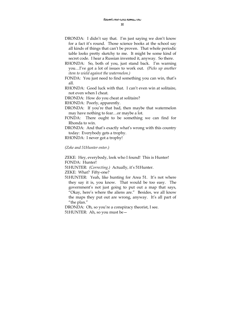- DRONDA: I didn't say that. I'm just saying we don't know for a fact it's round. Those science books at the school say all kinds of things that can't be proven. That whole periodic table looks pretty sketchy to me. It might be some kind of secret code. I hear a Russian invented it, anyway. So there.
- RHONDA: So, both of you, just stand back. I'm warning you…I've got a lot of issues to work out. *(Picks up another item to wield against the watermelon.)*
- FONDA: You just need to find something you can win, that's all.
- RHONDA: Good luck with that. I can't even win at solitaire, not even when I cheat.
- DRONDA: How do you cheat at solitaire?
- RHONDA: Poorly, apparently.
- DRONDA: If you're that bad, then maybe that watermelon may have nothing to fear…or maybe a lot.
- FONDA: There ought to be something we can find for Rhonda to win.
- DRONDA: And that's exactly what's wrong with this country today: Everybody gets a trophy.
- RHONDA: I never got a trophy!

#### *(Zeke and 51Hunter enter.)*

ZEKE: Hey, everybody, look who I found! This is Hunter! FONDA: Hunter!

51HUNTER: *(Correcting.)* Actually, it's 51Hunter.

ZEKE: What? Fifty-one?

51HUNTER: Yeah, like hunting for Area 51. It's not where they say it is, you know. That would be too easy. The government's not just going to put out a map that says, "Okay, here's where the aliens are." Besides, we all know the maps they put out are wrong, anyway. It's all part of "the plan."

DRONDA: Oh, so you're a conspiracy theorist, I see. 51HUNTER: Ah, so you must be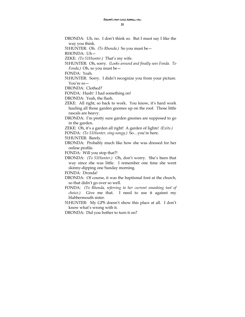33

DRONDA: Uh, no. I don't think so. But I must say I like the way you think.

51HUNTER: Oh. *(To Rhonda.)* So you must be—

RHONDA: Uh—

ZEKE: *(To 51Hunter.)* That's my wife.

51HUNTER: Oh, sorry. *(Looks around and finally sees Fonda. To Fonda.)* Oh, so you must be—

FONDA: Yeah.

51HUNTER: Sorry. I didn't recognize you from your picture. You're so—

DRONDA: Clothed?

FONDA: Hush! I had something on!

DRONDA: Yeah, the flash.

ZEKE: All right, so back to work. You know, it's hard work hauling all those garden gnomes up on the roof. Those little rascals are heavy.

DRONDA: I'm pretty sure garden gnomes are supposed to go in the garden.

ZEKE: Oh, it's a garden all right! A garden of lights! *(Exits.)* 

FONDA: *(To 51Hunter, sing-songy.)* So…you're here.

51HUNTER: Barely.

DRONDA: Probably much like how she was dressed for her online profile.

FONDA: Will you stop that?!

DRONDA: *(To 51Hunter.)* Oh, don't worry. She's been that way since she was little. I remember one time she went skinny-dipping one Sunday morning.

FONDA: Dronda!

DRONDA: Of course, it was the baptismal font at the church, so that didn't go over so well.

FONDA: *(To Rhonda, referring to her current smashing tool of choice.)* Give me that. I need to use it against my blabbermouth sister.

51HUNTER: My GPS doesn't show this place at all. I don't know what's wrong with it.

DRONDA: Did you bother to turn it on?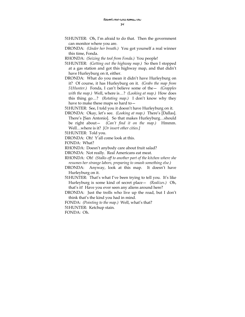- 51HUNTER: Oh, I'm afraid to do that. Then the government can monitor where you are.
- DRONDA: *(Under her breath.)* You got yourself a real winner this time, Fonda.
- RHONDA: *(Seizing the tool from Fonda.)* You people!
- 51HUNTER: *(Getting out the highway map.)* So then I stopped at a gas station and got this highway map, and that didn't have Hurleyburg on it, either.
- DRONDA: What do you mean it didn't have Hurleyburg on it? Of course, it has Hurleyburg on it. *(Grabs the map from 51Hunter.)* Fonda, I can't believe some of the— *(Grapples with the map.)* Well, where is…? *(Looking at map.)* How does this thing go…? *(Rotating map.)* I don't know why they have to make these maps so hard to—
- 51HUNTER: See, I told you it doesn't have Hurleyburg on it.
- DRONDA: Okay, let's see. *(Looking at map.)* There's [Dallas]. There's [San Antonio]. So that makes Hurleyburg…should be right about— *(Can't find it on the map.)* Hmmm. Well…where is it? *[Or insert other cities.]*

51HUNTER: Told you.

DRONDA: Oh! Y'all come look at this.

FONDA: What?

RHONDA: Doesn't anybody care about fruit salad?

DRONDA: Not really. Real Americans eat meat.

- RHONDA: Oh! *(Stalks off to another part of the kitchen where she resumes her strange labors, preparing to smash something else.)*
- DRONDA: Anyway, look at this map. It doesn't have Hurleyburg on it.

51HUNTER: That's what I've been trying to tell you. It's like Hurleyburg is some kind of secret place— *(Realizes.)* Oh, that's it! Have you ever seen any aliens around here?

DRONDA: Just the trolls who live up the road, but I don't think that's the kind you had in mind.

FONDA: *(Pointing to the map.)* Well, what's that?

51HUNTER: Ketchup stain.

FONDA: Oh.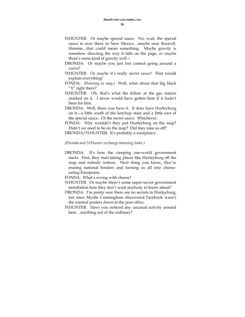- 51HUNTER: Or maybe special sauce. No, wait, the special sauce is over there in New Mexico…maybe near Roswell. Hmmm…that could mean something. Maybe gravity is somehow directing the way it falls on the page, or maybe there's some kind of gravity well—
- DRONDA: Or maybe you just lost control going around a curve?
- 51HUNTER: Or maybe it's really secret sauce! That would explain everything!
- FONDA: *(Pointing to map.)* Well, what about that big black "X" right there?
- 51HUNTER: Oh, that's what the fellow at the gas station marked on it. I never would have gotten here if it hadn't been for him.
- DRONDA: Well, there you have it. It does have Hurleyburg on it—a little south of the ketchup stain and a little east of the special sauce. Or the secret sauce. Whichever.

FONDA: Why wouldn't they put Hurleyburg on the map? Didn't we used to be on the map? Did they take us off?

DRONDA/51HUNTER: It's probably a conspiracy.

#### *(Dronda and 51Hunter exchange knowing looks.)*

DRONDA: It's how the creeping one-world government starts. First, they start taking places like Hurleyburg off the map and nobody notices. Next thing you know, they're erasing national borders and turning us all into cheeseeating Europeans.

FONDA: What's wrong with cheese?

- 51HUNTER: Or maybe there's some super-secret government installation here they don't want anybody to know about?
- DRONDA: I'm pretty sure there are no secrets in Hurleyburg, not since Myrtle Cunningham discovered Facebook wasn't the wanted posters down at the post office.
- 51HUNTER: Have you noticed any unusual activity around here…anything out of the ordinary?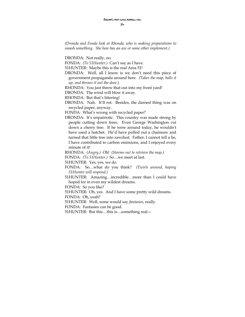*(Dronda and Fonda look at Rhonda, who is making preparations to smash something. She how has an axe or some other implement.)* 

DRONDA: Not really, no.

FONDA: *(To 51Hunter.)* Can't say as I have.

51HUNTER: Maybe this is the real Area 51!

DRONDA: Well, all I know is we don't need this piece of government propaganda around here. *(Takes the map, balls it up, and throws it out the door.)* 

RHONDA: You just threw that out into my front yard!

DRONDA: The wind will blow it away.

RHONDA: But that's littering!

DRONDA: Nah. It'll rot. Besides, the darned thing was on recycled paper, anyway.

FONDA: What's wrong with recycled paper?

DRONDA: It's unpatriotic. This country was made strong by people cutting down trees. Even George Washington cut down a cherry tree. If he were around today, he wouldn't have used a hatchet. He'd have pulled out a chainsaw and turned that little tree into sawdust. Father, I cannot tell a lie, I have contributed to carbon emissions, and I enjoyed every minute of it!

RHONDA: *(Angry.)* Oh! *(Storms out to retrieve the map.)* 

FONDA: *(To 51Hunter.)* So…we meet at last.

51HUNTER: Yes, yes, we do.

- FONDA: So…what do you think? *(Twirls around, hoping 51Hunter will respond.)*
- 51HUNTER: Amazing…incredible…more than I could have hoped for in even my wildest dreams.

FONDA: So you like?

51HUNTER: Oh, yes. And I have some pretty wild dreams.

FONDA: Oh, yeah?

51HUNTER: Well, some would say *fantasies*, really.

FONDA: Fantasies can be good.

51HUNTER: But this…this is…something real—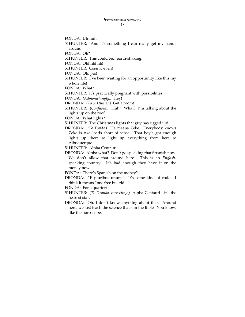FONDA: Uh-huh. 51HUNTER: And it's something I can really get my hands around!

FONDA: Oh?

51HUNTER: This could be…earth-shaking.

FONDA: Ohhhhhhh!

51HUNTER: Cosmic even!

FONDA: Oh, yes!

51HUNTER: I've been waiting for an opportunity like this my whole life!

FONDA: What?

51HUNTER: It's practically pregnant with possibilities.

FONDA: *(Admonishingly.)* Hey!

DRONDA: *(To 51Hunter.)* Get a room!

51HUNTER: *(Confused.)* Huh? What? I'm talking about the lights up on the roof!

FONDA: What lights?

51HUNTER: The Christmas lights that guy has rigged up!

DRONDA: *(To Fonda.)* He means Zeke. Everybody knows Zeke is two loads short of sense. That boy's got enough lights up there to light up everything from here to Albuquerque.

51HUNTER: Alpha Centauri.

DRONDA: Alpha what? Don't go speaking that Spanish now. We don't allow that around here. This is an *English*speaking country. It's bad enough they have it on the money now.

FONDA: There's Spanish on the money?

DRONDA: "E pluribus unum." It's some kind of code. I think it means "one free bus ride."

FONDA: For a quarter?

51HUNTER: *(To Dronda, correcting.)* Alpha Centauri…it's the nearest star.

DRONDA: Oh, I don't know anything about that. Around here, we just teach the science that's in the Bible. You know, like the horoscope.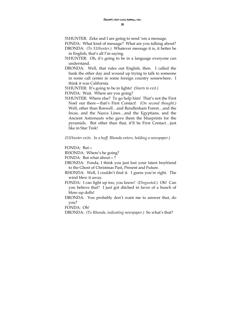51HUNTER: Zeke and I are going to send 'em a message.

FONDA: What kind of message? What are you talking about?

DRONDA: *(To 51Hunter.)* Whatever message it is, it better be in English, that's all I'm saying.

51HUNTER: Oh, it's going to be in a language everyone can understand.

DRONDA: Well, that rules out English, then. I called the bank the other day and wound up trying to talk to someone in some call center in some foreign country somewhere. I think it was California.

51HUNTER: It's going to be in lights! *(Starts to exit.)* 

FONDA: Wait. Where are you going?

51HUNTER: Where else? To go help him! That's not the First Noel out there—that's First Contact! *(On second thought.)* Well, other than Roswell…and Rendlesham Forest…and the Incas, and the Nazca Lines…and the Egyptians, and the Ancient Astronauts who gave them the blueprints for the pyramids. But other than that, it'll be First Contact…just like in Star Trek!

#### *(51Hunter exits. In a huff, Rhonda enters, holding a newspaper.)*

FONDA: But—

RHONDA: Where's he going?

FONDA: But what about—?

DRONDA: Fonda, I think you just lost your latest boyfriend to the Ghost of Christmas Past, Present and Future.

- RHONDA: Well, I couldn't find it. I guess you're right. The wind blew it away.
- FONDA: I can light up too, you know! *(Disgusted.)* Oh! Can you believe that? I just got ditched in favor of a bunch of blow-up dolls!
- DRONDA: You probably don't want me to answer that, do you?

FONDA: Oh!

DRONDA: *(To Rhonda, indicating newspaper.)* So what's that?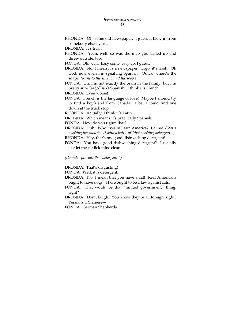RHONDA: Oh, some old newspaper. I guess it blew in from somebody else's yard.

DRONDA: It's trash.

RHONDA: Yeah, well, so was the map you balled up and threw outside, too.

FONDA: Oh, well. Easy come, easy go, I guess.

- DRONDA: No, I mean it's a newspaper. Ergo, it's trash. Oh God, now even I'm speaking Spanish! Quick, where's the soap? *(Runs to the sink to find the soap.)*
- FONDA: Uh, I'm not exactly the brain in the family, but I'm pretty sure "ergo" isn't Spanish. I think it's French.

DRONDA: Even worse!

FONDA: French is the language of love! Maybe I should try to find a boyfriend from Canada. I bet I could find one down at the truck stop.

RHONDA: Actually, I think it's Latin.

DRONDA: Which means it's practically Spanish.

FONDA: How do you figure that?

- DRONDA: Duh! Who lives in Latin America? Latins! *(Starts washing her mouth out with a bottle of "dishwashing detergent.")*
- RHONDA: Hey, that's my good dishwashing detergent!

FONDA: You have good dishwashing detergent? I usually just let the cat lick mine clean.

*(Dronda spits out the "detergent.")* 

DRONDA: That's disgusting!

FONDA: Well, it is detergent.

- DRONDA: No, I mean that you have a cat! Real Americans ought to have dogs. There ought to be a law against cats.
- FONDA: That would be that "limited government" thing, right?
- DRONDA: Don't laugh. You know they're all foreign, right? Persians… Siamese—

FONDA: German Shepherds.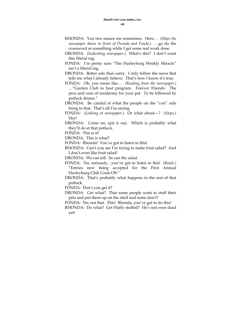- RHONDA: You two amaze me sometimes. Here… *(Slaps the newspaper down in front of Dronda and Fonda.) …*go do the crossword or something while I get some real work done.
- DRONDA: *(Indicating newspaper.)* What's this? I don't want this liberal rag.
- FONDA: I'm pretty sure "The Hurleyburg Weekly Miracle" isn't a liberal rag.
- DRONDA: Better safe than sorry. I only follow the news that tells me what I already believe. That's how I know it's true.
- FONDA: Oh, you mean like… *(Reading from the newspaper.)* …"Garden Club to host program. Forever Friends: The pros and cons of taxidermy for your pet. To be followed by potluck dinner."
- DRONDA: Be careful of what the people on the "con" side bring to that. That's all I'm saying.
- FONDA: *(Looking at newspaper.)* Or what about—? *(Stops.)* Hey!
- DRONDA: Come on, spit it out. Which is probably what they'll do at that potluck.

FONDA: This is it!

DRONDA: This is what?

FONDA: Rhonda! You've got to listen to this!

RHONDA: Can't you see I'm trying to make fruit salad? And I don't even like fruit salad!

DRONDA: We can tell. So can the salad.

- FONDA: No, seriously…you've got to listen to this! *(Reads.)* "Entries now being accepted for the First Annual Hurleyburg Chili Cook-Off."
- DRONDA: That's probably what happens to the rest of that potluck.

FONDA: Don't you get it?

DRONDA: Get what? That some people want to stuff their pets and put them up on the shelf and some don't?

FONDA: No, not that. This! Rhonda, you've got to do this!

RHONDA: Do what? Get Fluffy stuffed? He's not even dead yet!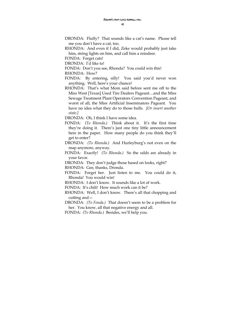- DRONDA: Fluffy? That sounds like a cat's name. Please tell me you don't have a cat, too.
- RHONDA: And even if I did, Zeke would probably just take him, string lights on him, and call him a reindeer.
- FONDA: Forget cats!
- DRONDA: I'd like to!
- FONDA: Don't you see, Rhonda? You could win this!

RHONDA: How?

- FONDA: By entering, silly! You said you'd never won anything. Well, here's your chance!
- RHONDA: That's what Mom said before sent me off to the Miss West [Texas] Used Tire Dealers Pageant…and the Miss Sewage Treatment Plant Operators Convention Pageant, and worst of all, the Miss Artificial Inseminators Pageant. You have no idea what they do to those bulls. *[Or insert another state.]*

DRONDA: Oh, I think I have some idea.

- FONDA: *(To Rhonda.)* Think about it. It's the first time they're doing it. There's just one tiny little announcement here in the paper. How many people do you think they'll get to enter?
- DRONDA: *(To Rhonda.)* And Hurleyburg's not even on the map anymore, anyway.
- FONDA: Exactly! *(To Rhonda.)* So the odds are already in your favor.
- DRONDA: They don't judge those based on looks, right?
- RHONDA: Gee, thanks, Dronda.
- FONDA: Forget her. Just listen to me. You could do it, Rhonda! You would win!
- RHONDA: I don't know. It sounds like a lot of work.
- FONDA: It's chili! How much work can it be?
- RHONDA: Well, I don't know. There's all that chopping and cutting and—
- DRONDA: *(To Fonda.)* That doesn't seem to be a problem for her. You know, all that negative energy and all.
- FONDA: *(To Rhonda.)* Besides, we'll help you.